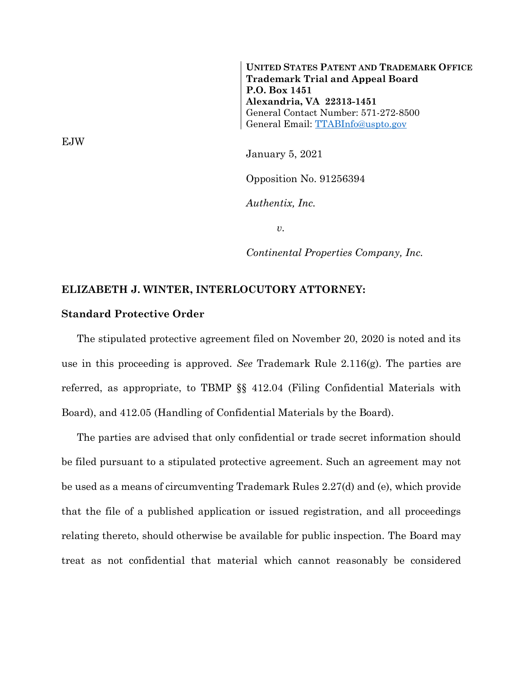**UNITED STATES PATENT AND TRADEMARK OFFICE Trademark Trial and Appeal Board P.O. Box 1451 Alexandria, VA 22313-1451** General Contact Number: 571-272-8500 General Email: [TTABInfo@uspto.gov](mailto:TTABInfo@uspto.gov)

January 5, 2021

Opposition No. 91256394

*Authentix, Inc.*

*v.*

*Continental Properties Company, Inc.*

## **ELIZABETH J. WINTER, INTERLOCUTORY ATTORNEY:**

## **Standard Protective Order**

The stipulated protective agreement filed on November 20, 2020 is noted and its use in this proceeding is approved. *See* Trademark Rule 2.116(g). The parties are referred, as appropriate, to TBMP §§ 412.04 (Filing Confidential Materials with Board), and 412.05 (Handling of Confidential Materials by the Board).

The parties are advised that only confidential or trade secret information should be filed pursuant to a stipulated protective agreement. Such an agreement may not be used as a means of circumventing Trademark Rules 2.27(d) and (e), which provide that the file of a published application or issued registration, and all proceedings relating thereto, should otherwise be available for public inspection. The Board may treat as not confidential that material which cannot reasonably be considered

EJW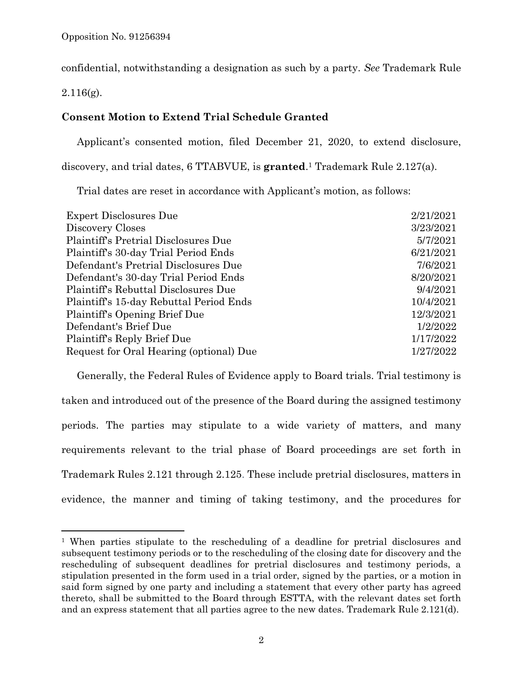confidential, notwithstanding a designation as such by a party. *See* Trademark Rule

2.116(g).

l

## **Consent Motion to Extend Trial Schedule Granted**

Applicant's consented motion, filed December 21, 2020, to extend disclosure,

discovery, and trial dates, 6 TTABVUE, is **granted**. <sup>1</sup> Trademark Rule 2.127(a).

Trial dates are reset in accordance with Applicant's motion, as follows:

| <b>Expert Disclosures Due</b>           | 2/21/2021 |
|-----------------------------------------|-----------|
| Discovery Closes                        | 3/23/2021 |
| Plaintiff's Pretrial Disclosures Due    | 5/7/2021  |
| Plaintiff's 30-day Trial Period Ends    | 6/21/2021 |
| Defendant's Pretrial Disclosures Due    | 7/6/2021  |
| Defendant's 30-day Trial Period Ends    | 8/20/2021 |
| Plaintiff's Rebuttal Disclosures Due    | 9/4/2021  |
| Plaintiff's 15-day Rebuttal Period Ends | 10/4/2021 |
| Plaintiff's Opening Brief Due           | 12/3/2021 |
| Defendant's Brief Due                   | 1/2/2022  |
| Plaintiff's Reply Brief Due             | 1/17/2022 |
| Request for Oral Hearing (optional) Due | 1/27/2022 |
|                                         |           |

Generally, the Federal Rules of Evidence apply to Board trials. Trial testimony is taken and introduced out of the presence of the Board during the assigned testimony periods. The parties may stipulate to a wide variety of matters, and many requirements relevant to the trial phase of Board proceedings are set forth in Trademark Rules 2.121 through 2.125. These include pretrial disclosures, matters in evidence, the manner and timing of taking testimony, and the procedures for

<sup>&</sup>lt;sup>1</sup> When parties stipulate to the rescheduling of a deadline for pretrial disclosures and subsequent testimony periods or to the rescheduling of the closing date for discovery and the rescheduling of subsequent deadlines for pretrial disclosures and testimony periods, a stipulation presented in the form used in a trial order, signed by the parties, or a motion in said form signed by one party and including a statement that every other party has agreed thereto, shall be submitted to the Board through ESTTA, with the relevant dates set forth and an express statement that all parties agree to the new dates. Trademark Rule 2.121(d).